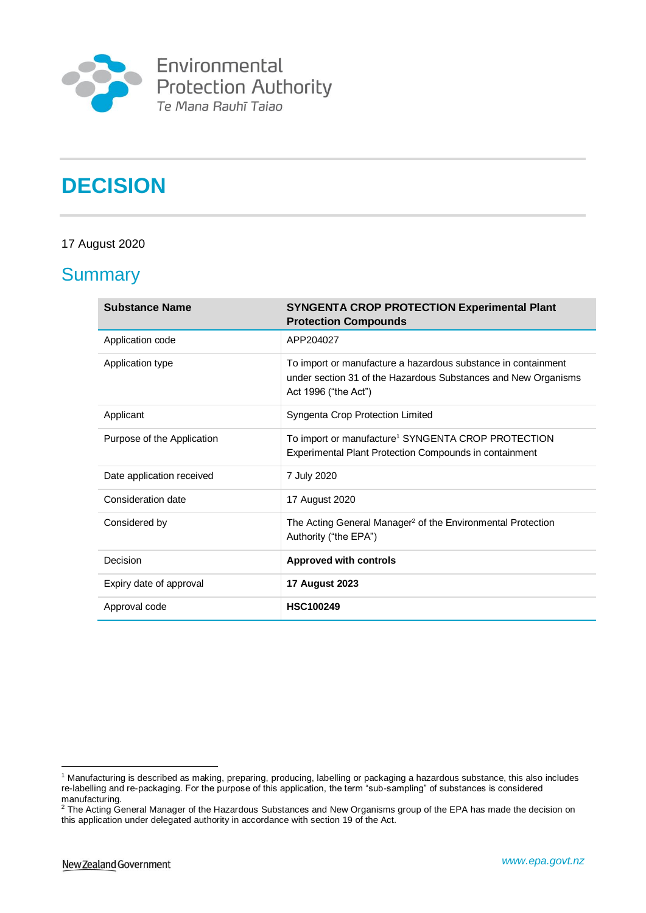

# **DECISION**

#### 17 August 2020

### **Summary**

| <b>Substance Name</b>      | <b>SYNGENTA CROP PROTECTION Experimental Plant</b><br><b>Protection Compounds</b>                                                                       |
|----------------------------|---------------------------------------------------------------------------------------------------------------------------------------------------------|
| Application code           | APP204027                                                                                                                                               |
| Application type           | To import or manufacture a hazardous substance in containment<br>under section 31 of the Hazardous Substances and New Organisms<br>Act 1996 ("the Act") |
| Applicant                  | Syngenta Crop Protection Limited                                                                                                                        |
| Purpose of the Application | To import or manufacture <sup>1</sup> SYNGENTA CROP PROTECTION<br>Experimental Plant Protection Compounds in containment                                |
| Date application received  | 7 July 2020                                                                                                                                             |
| Consideration date         | 17 August 2020                                                                                                                                          |
| Considered by              | The Acting General Manager <sup>2</sup> of the Environmental Protection<br>Authority ("the EPA")                                                        |
| Decision                   | <b>Approved with controls</b>                                                                                                                           |
| Expiry date of approval    | <b>17 August 2023</b>                                                                                                                                   |
| Approval code              | <b>HSC100249</b>                                                                                                                                        |

<u>.</u>

<sup>1</sup> Manufacturing is described as making, preparing, producing, labelling or packaging a hazardous substance, this also includes re-labelling and re-packaging. For the purpose of this application, the term "sub-sampling" of substances is considered manufacturing.

<sup>&</sup>lt;sup>2</sup> The Acting General Manager of the Hazardous Substances and New Organisms group of the EPA has made the decision on this application under delegated authority in accordance with section 19 of the Act.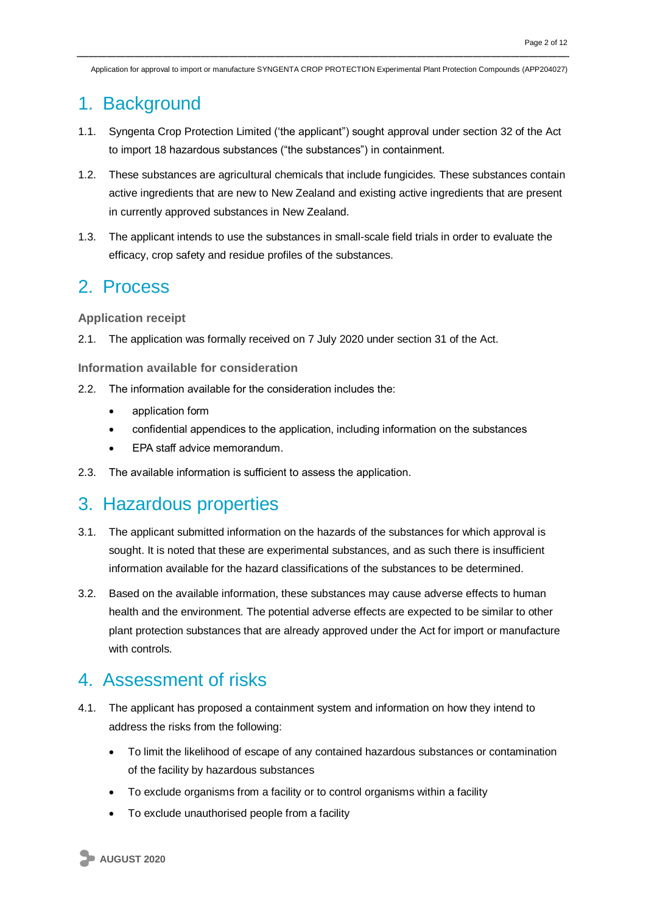# 1. Background

- 1.1. Syngenta Crop Protection Limited ('the applicant") sought approval under section 32 of the Act to import 18 hazardous substances ("the substances") in containment.
- 1.2. These substances are agricultural chemicals that include fungicides. These substances contain active ingredients that are new to New Zealand and existing active ingredients that are present in currently approved substances in New Zealand.
- 1.3. The applicant intends to use the substances in small-scale field trials in order to evaluate the efficacy, crop safety and residue profiles of the substances.

### 2. Process

**Application receipt**

2.1. The application was formally received on 7 July 2020 under section 31 of the Act.

**Information available for consideration**

- 2.2. The information available for the consideration includes the:
	- application form
	- confidential appendices to the application, including information on the substances
	- EPA staff advice memorandum.
- 2.3. The available information is sufficient to assess the application.

# 3. Hazardous properties

- 3.1. The applicant submitted information on the hazards of the substances for which approval is sought. It is noted that these are experimental substances, and as such there is insufficient information available for the hazard classifications of the substances to be determined.
- 3.2. Based on the available information, these substances may cause adverse effects to human health and the environment. The potential adverse effects are expected to be similar to other plant protection substances that are already approved under the Act for import or manufacture with controls.

### 4. Assessment of risks

- 4.1. The applicant has proposed a containment system and information on how they intend to address the risks from the following:
	- To limit the likelihood of escape of any contained hazardous substances or contamination of the facility by hazardous substances
	- To exclude organisms from a facility or to control organisms within a facility
	- To exclude unauthorised people from a facility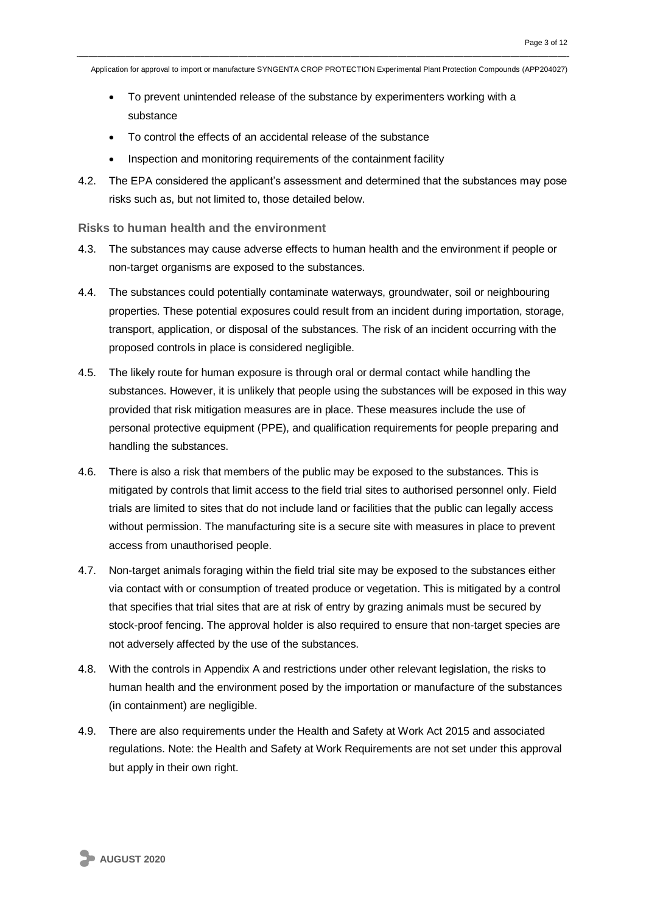- To prevent unintended release of the substance by experimenters working with a substance
- To control the effects of an accidental release of the substance
- Inspection and monitoring requirements of the containment facility
- 4.2. The EPA considered the applicant's assessment and determined that the substances may pose risks such as, but not limited to, those detailed below.

**Risks to human health and the environment**

- 4.3. The substances may cause adverse effects to human health and the environment if people or non-target organisms are exposed to the substances.
- 4.4. The substances could potentially contaminate waterways, groundwater, soil or neighbouring properties. These potential exposures could result from an incident during importation, storage, transport, application, or disposal of the substances. The risk of an incident occurring with the proposed controls in place is considered negligible.
- 4.5. The likely route for human exposure is through oral or dermal contact while handling the substances. However, it is unlikely that people using the substances will be exposed in this way provided that risk mitigation measures are in place. These measures include the use of personal protective equipment (PPE), and qualification requirements for people preparing and handling the substances.
- 4.6. There is also a risk that members of the public may be exposed to the substances. This is mitigated by controls that limit access to the field trial sites to authorised personnel only. Field trials are limited to sites that do not include land or facilities that the public can legally access without permission. The manufacturing site is a secure site with measures in place to prevent access from unauthorised people.
- 4.7. Non-target animals foraging within the field trial site may be exposed to the substances either via contact with or consumption of treated produce or vegetation. This is mitigated by a control that specifies that trial sites that are at risk of entry by grazing animals must be secured by stock-proof fencing. The approval holder is also required to ensure that non-target species are not adversely affected by the use of the substances.
- 4.8. With the controls in Appendix A and restrictions under other relevant legislation, the risks to human health and the environment posed by the importation or manufacture of the substances (in containment) are negligible.
- 4.9. There are also requirements under the Health and Safety at Work Act 2015 and associated regulations. Note: the Health and Safety at Work Requirements are not set under this approval but apply in their own right.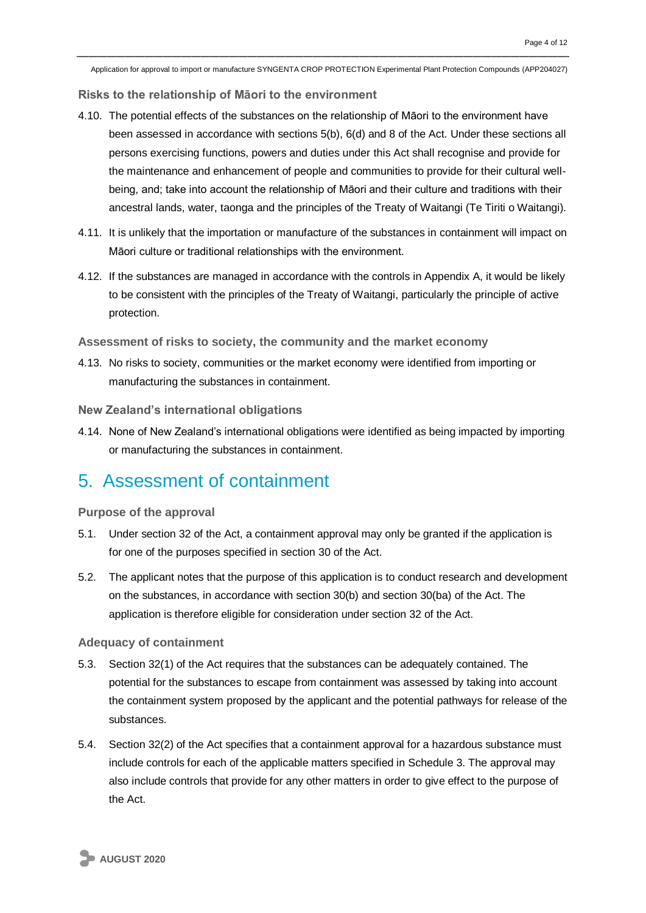**Risks to the relationship of Māori to the environment**

- 4.10. The potential effects of the substances on the relationship of Māori to the environment have been assessed in accordance with sections 5(b), 6(d) and 8 of the Act. Under these sections all persons exercising functions, powers and duties under this Act shall recognise and provide for the maintenance and enhancement of people and communities to provide for their cultural wellbeing, and; take into account the relationship of Māori and their culture and traditions with their ancestral lands, water, taonga and the principles of the Treaty of Waitangi (Te Tiriti o Waitangi).
- 4.11. It is unlikely that the importation or manufacture of the substances in containment will impact on Māori culture or traditional relationships with the environment.
- 4.12. If the substances are managed in accordance with the controls in Appendix A, it would be likely to be consistent with the principles of the Treaty of Waitangi, particularly the principle of active protection.

**Assessment of risks to society, the community and the market economy**

4.13. No risks to society, communities or the market economy were identified from importing or manufacturing the substances in containment.

**New Zealand's international obligations**

4.14. None of New Zealand's international obligations were identified as being impacted by importing or manufacturing the substances in containment.

### 5. Assessment of containment

**Purpose of the approval**

- 5.1. Under section 32 of the Act, a containment approval may only be granted if the application is for one of the purposes specified in section 30 of the Act.
- 5.2. The applicant notes that the purpose of this application is to conduct research and development on the substances, in accordance with section 30(b) and section 30(ba) of the Act. The application is therefore eligible for consideration under section 32 of the Act.

**Adequacy of containment** 

- 5.3. Section 32(1) of the Act requires that the substances can be adequately contained. The potential for the substances to escape from containment was assessed by taking into account the containment system proposed by the applicant and the potential pathways for release of the substances.
- 5.4. Section 32(2) of the Act specifies that a containment approval for a hazardous substance must include controls for each of the applicable matters specified in Schedule 3. The approval may also include controls that provide for any other matters in order to give effect to the purpose of the Act.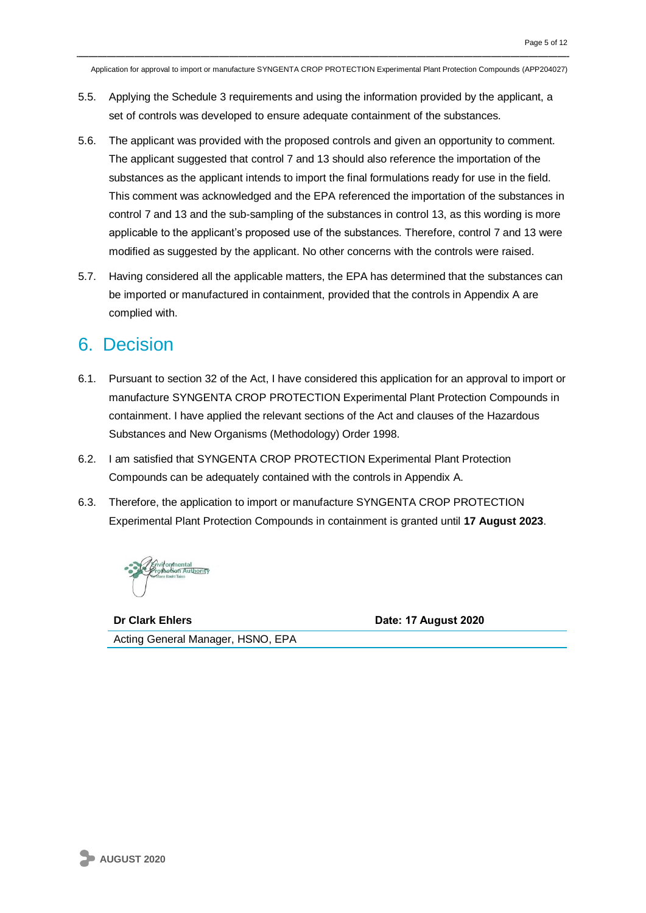- 5.5. Applying the Schedule 3 requirements and using the information provided by the applicant, a set of controls was developed to ensure adequate containment of the substances.
- 5.6. The applicant was provided with the proposed controls and given an opportunity to comment. The applicant suggested that control 7 and 13 should also reference the importation of the substances as the applicant intends to import the final formulations ready for use in the field. This comment was acknowledged and the EPA referenced the importation of the substances in control 7 and 13 and the sub-sampling of the substances in control 13, as this wording is more applicable to the applicant's proposed use of the substances. Therefore, control 7 and 13 were modified as suggested by the applicant. No other concerns with the controls were raised.
- 5.7. Having considered all the applicable matters, the EPA has determined that the substances can be imported or manufactured in containment, provided that the controls in Appendix A are complied with.

### 6. Decision

- 6.1. Pursuant to section 32 of the Act, I have considered this application for an approval to import or manufacture SYNGENTA CROP PROTECTION Experimental Plant Protection Compounds in containment. I have applied the relevant sections of the Act and clauses of the Hazardous Substances and New Organisms (Methodology) Order 1998.
- 6.2. I am satisfied that SYNGENTA CROP PROTECTION Experimental Plant Protection Compounds can be adequately contained with the controls in Appendix A.
- 6.3. Therefore, the application to import or manufacture SYNGENTA CROP PROTECTION Experimental Plant Protection Compounds in containment is granted until **17 August 2023**.

**Dr Clark Ehlers Date: 17 August 2020**

Acting General Manager, HSNO, EPA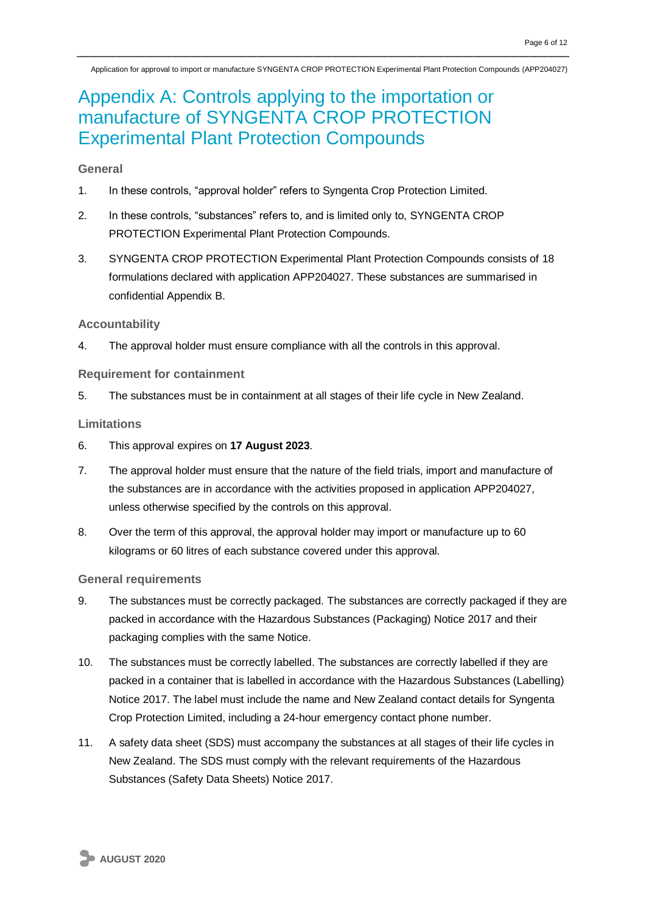# Appendix A: Controls applying to the importation or manufacture of SYNGENTA CROP PROTECTION Experimental Plant Protection Compounds

#### **General**

- 1. In these controls, "approval holder" refers to Syngenta Crop Protection Limited.
- 2. In these controls, "substances" refers to, and is limited only to, SYNGENTA CROP PROTECTION Experimental Plant Protection Compounds.
- 3. SYNGENTA CROP PROTECTION Experimental Plant Protection Compounds consists of 18 formulations declared with application APP204027. These substances are summarised in confidential Appendix B.

#### **Accountability**

4. The approval holder must ensure compliance with all the controls in this approval.

#### **Requirement for containment**

5. The substances must be in containment at all stages of their life cycle in New Zealand.

#### **Limitations**

- 6. This approval expires on **17 August 2023**.
- 7. The approval holder must ensure that the nature of the field trials, import and manufacture of the substances are in accordance with the activities proposed in application APP204027, unless otherwise specified by the controls on this approval.
- 8. Over the term of this approval, the approval holder may import or manufacture up to 60 kilograms or 60 litres of each substance covered under this approval.

#### **General requirements**

- 9. The substances must be correctly packaged. The substances are correctly packaged if they are packed in accordance with the Hazardous Substances (Packaging) Notice 2017 and their packaging complies with the same Notice.
- 10. The substances must be correctly labelled. The substances are correctly labelled if they are packed in a container that is labelled in accordance with the Hazardous Substances (Labelling) Notice 2017. The label must include the name and New Zealand contact details for Syngenta Crop Protection Limited, including a 24-hour emergency contact phone number.
- 11. A safety data sheet (SDS) must accompany the substances at all stages of their life cycles in New Zealand. The SDS must comply with the relevant requirements of the Hazardous Substances (Safety Data Sheets) Notice 2017.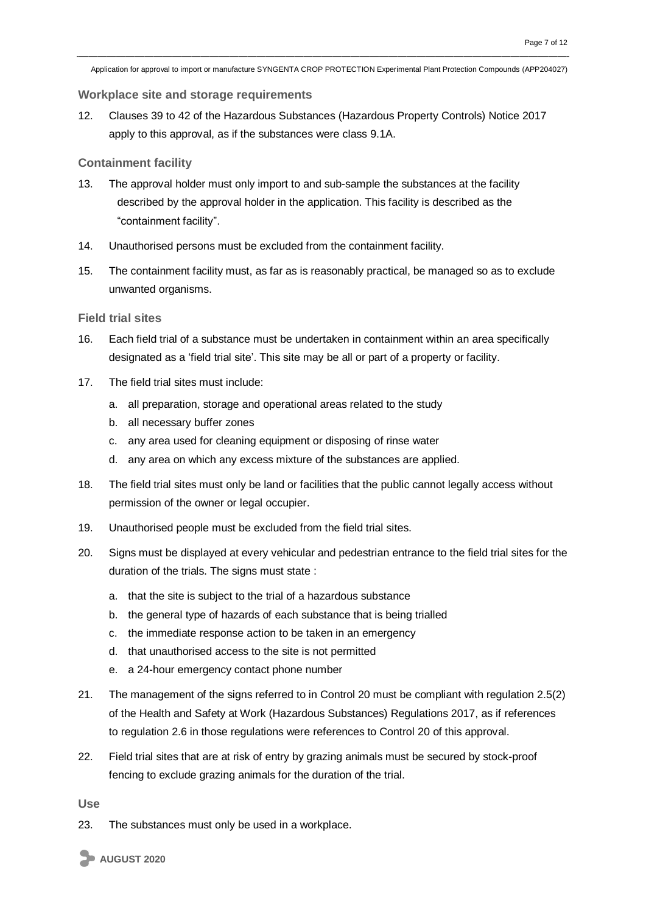#### **Workplace site and storage requirements**

12. Clauses 39 to 42 of the Hazardous Substances (Hazardous Property Controls) Notice 2017 apply to this approval, as if the substances were class 9.1A.

#### **Containment facility**

- 13. The approval holder must only import to and sub-sample the substances at the facility described by the approval holder in the application. This facility is described as the "containment facility".
- 14. Unauthorised persons must be excluded from the containment facility.
- 15. The containment facility must, as far as is reasonably practical, be managed so as to exclude unwanted organisms.

#### **Field trial sites**

- 16. Each field trial of a substance must be undertaken in containment within an area specifically designated as a 'field trial site'. This site may be all or part of a property or facility.
- 17. The field trial sites must include:
	- a. all preparation, storage and operational areas related to the study
	- b. all necessary buffer zones
	- c. any area used for cleaning equipment or disposing of rinse water
	- d. any area on which any excess mixture of the substances are applied.
- 18. The field trial sites must only be land or facilities that the public cannot legally access without permission of the owner or legal occupier.
- 19. Unauthorised people must be excluded from the field trial sites.
- 20. Signs must be displayed at every vehicular and pedestrian entrance to the field trial sites for the duration of the trials. The signs must state :
	- a. that the site is subject to the trial of a hazardous substance
	- b. the general type of hazards of each substance that is being trialled
	- c. the immediate response action to be taken in an emergency
	- d. that unauthorised access to the site is not permitted
	- e. a 24-hour emergency contact phone number
- 21. The management of the signs referred to in Control 20 must be compliant with regulation 2.5(2) of the Health and Safety at Work (Hazardous Substances) Regulations 2017, as if references to regulation 2.6 in those regulations were references to Control 20 of this approval.
- 22. Field trial sites that are at risk of entry by grazing animals must be secured by stock-proof fencing to exclude grazing animals for the duration of the trial.

**Use**

23. The substances must only be used in a workplace.

**AUGUST 2020**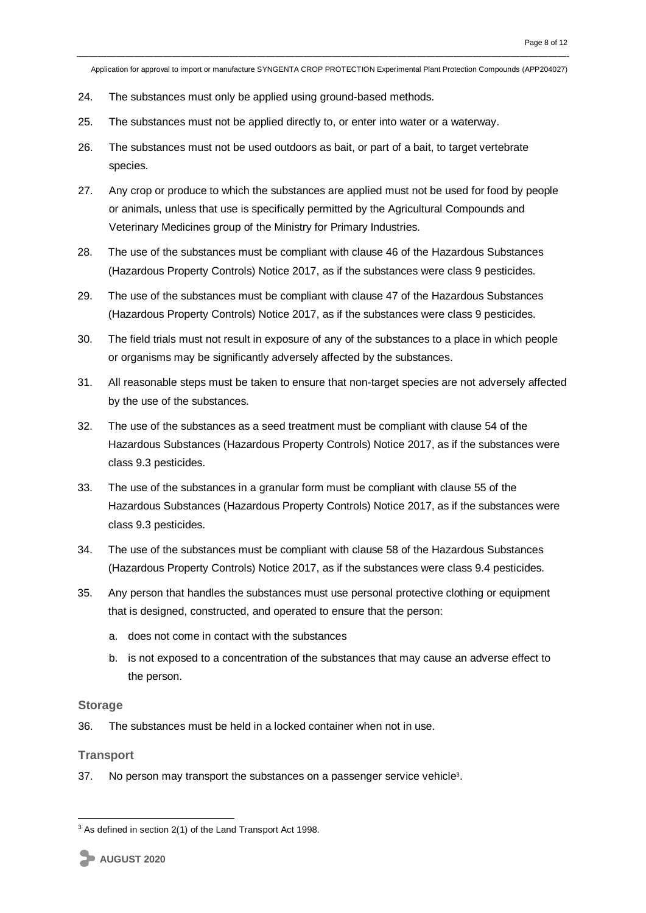- 24. The substances must only be applied using ground-based methods.
- 25. The substances must not be applied directly to, or enter into water or a waterway.
- 26. The substances must not be used outdoors as bait, or part of a bait, to target vertebrate species.
- 27. Any crop or produce to which the substances are applied must not be used for food by people or animals, unless that use is specifically permitted by the Agricultural Compounds and Veterinary Medicines group of the Ministry for Primary Industries.
- 28. The use of the substances must be compliant with clause 46 of the Hazardous Substances (Hazardous Property Controls) Notice 2017, as if the substances were class 9 pesticides.
- 29. The use of the substances must be compliant with clause 47 of the Hazardous Substances (Hazardous Property Controls) Notice 2017, as if the substances were class 9 pesticides.
- 30. The field trials must not result in exposure of any of the substances to a place in which people or organisms may be significantly adversely affected by the substances.
- 31. All reasonable steps must be taken to ensure that non-target species are not adversely affected by the use of the substances.
- 32. The use of the substances as a seed treatment must be compliant with clause 54 of the Hazardous Substances (Hazardous Property Controls) Notice 2017, as if the substances were class 9.3 pesticides.
- 33. The use of the substances in a granular form must be compliant with clause 55 of the Hazardous Substances (Hazardous Property Controls) Notice 2017, as if the substances were class 9.3 pesticides.
- 34. The use of the substances must be compliant with clause 58 of the Hazardous Substances (Hazardous Property Controls) Notice 2017, as if the substances were class 9.4 pesticides.
- 35. Any person that handles the substances must use personal protective clothing or equipment that is designed, constructed, and operated to ensure that the person:
	- a. does not come in contact with the substances
	- b. is not exposed to a concentration of the substances that may cause an adverse effect to the person.

#### **Storage**

36. The substances must be held in a locked container when not in use.

#### **Transport**

1

37. No person may transport the substances on a passenger service vehicle<sup>3</sup>.

<sup>&</sup>lt;sup>3</sup> As defined in section 2(1) of the Land Transport Act 1998.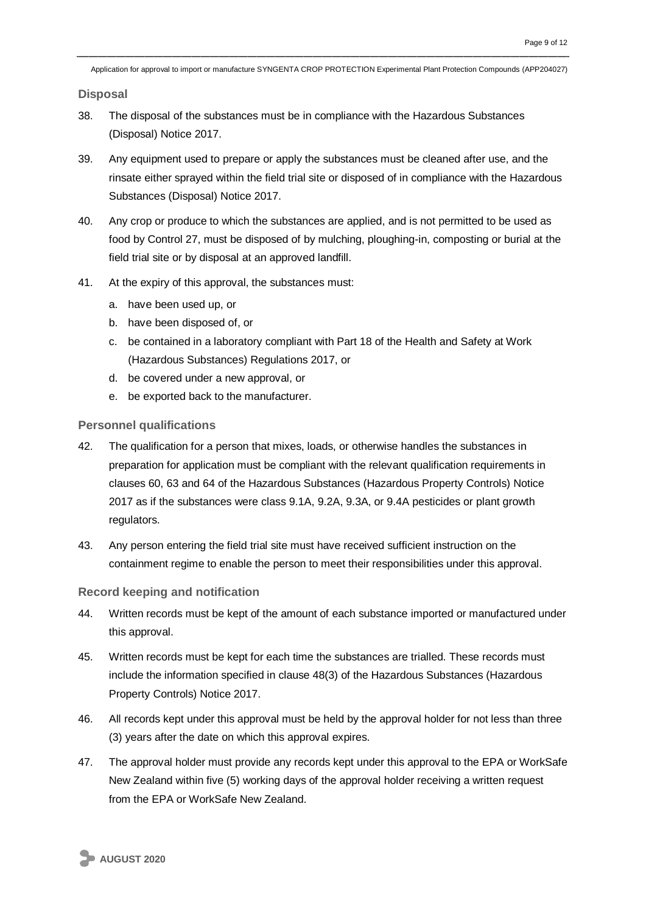**Disposal**

- 38. The disposal of the substances must be in compliance with the Hazardous Substances (Disposal) Notice 2017.
- 39. Any equipment used to prepare or apply the substances must be cleaned after use, and the rinsate either sprayed within the field trial site or disposed of in compliance with the Hazardous Substances (Disposal) Notice 2017.
- 40. Any crop or produce to which the substances are applied, and is not permitted to be used as food by Control 27, must be disposed of by mulching, ploughing-in, composting or burial at the field trial site or by disposal at an approved landfill.
- 41. At the expiry of this approval, the substances must:
	- a. have been used up, or
	- b. have been disposed of, or
	- c. be contained in a laboratory compliant with Part 18 of the Health and Safety at Work (Hazardous Substances) Regulations 2017, or
	- d. be covered under a new approval, or
	- e. be exported back to the manufacturer.

#### **Personnel qualifications**

- 42. The qualification for a person that mixes, loads, or otherwise handles the substances in preparation for application must be compliant with the relevant qualification requirements in clauses 60, 63 and 64 of the Hazardous Substances (Hazardous Property Controls) Notice 2017 as if the substances were class 9.1A, 9.2A, 9.3A, or 9.4A pesticides or plant growth regulators.
- 43. Any person entering the field trial site must have received sufficient instruction on the containment regime to enable the person to meet their responsibilities under this approval.

#### **Record keeping and notification**

- 44. Written records must be kept of the amount of each substance imported or manufactured under this approval.
- 45. Written records must be kept for each time the substances are trialled. These records must include the information specified in clause 48(3) of the Hazardous Substances (Hazardous Property Controls) Notice 2017.
- 46. All records kept under this approval must be held by the approval holder for not less than three (3) years after the date on which this approval expires.
- 47. The approval holder must provide any records kept under this approval to the EPA or WorkSafe New Zealand within five (5) working days of the approval holder receiving a written request from the EPA or WorkSafe New Zealand.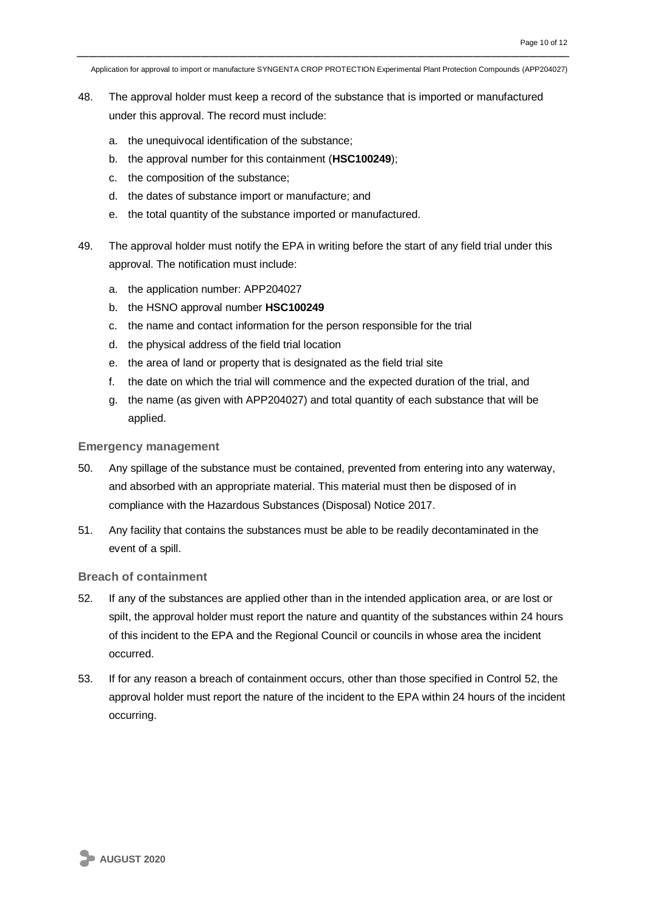- 48. The approval holder must keep a record of the substance that is imported or manufactured under this approval. The record must include:
	- a. the unequivocal identification of the substance;
	- b. the approval number for this containment (**HSC100249**);
	- c. the composition of the substance;
	- d. the dates of substance import or manufacture; and
	- e. the total quantity of the substance imported or manufactured.
- 49. The approval holder must notify the EPA in writing before the start of any field trial under this approval. The notification must include:
	- a. the application number: APP204027
	- b. the HSNO approval number **HSC100249**
	- c. the name and contact information for the person responsible for the trial
	- d. the physical address of the field trial location
	- e. the area of land or property that is designated as the field trial site
	- f. the date on which the trial will commence and the expected duration of the trial, and
	- g. the name (as given with APP204027) and total quantity of each substance that will be applied.

#### **Emergency management**

- 50. Any spillage of the substance must be contained, prevented from entering into any waterway, and absorbed with an appropriate material. This material must then be disposed of in compliance with the Hazardous Substances (Disposal) Notice 2017.
- 51. Any facility that contains the substances must be able to be readily decontaminated in the event of a spill.

#### **Breach of containment**

- 52. If any of the substances are applied other than in the intended application area, or are lost or spilt, the approval holder must report the nature and quantity of the substances within 24 hours of this incident to the EPA and the Regional Council or councils in whose area the incident occurred.
- 53. If for any reason a breach of containment occurs, other than those specified in Control 52, the approval holder must report the nature of the incident to the EPA within 24 hours of the incident occurring.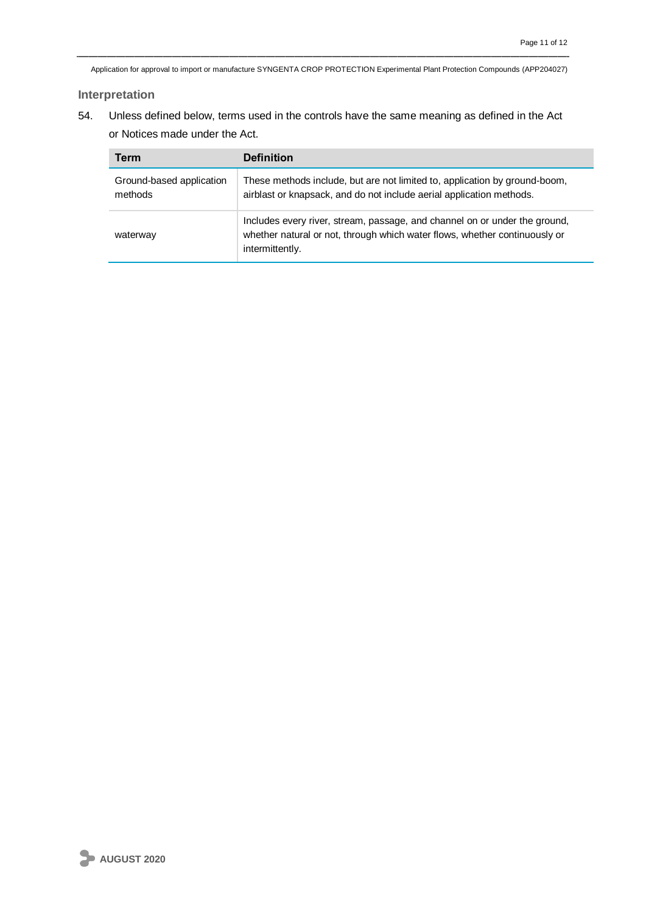#### **Interpretation**

54. Unless defined below, terms used in the controls have the same meaning as defined in the Act or Notices made under the Act.

| <b>Term</b>                         | <b>Definition</b>                                                                                                                                                           |
|-------------------------------------|-----------------------------------------------------------------------------------------------------------------------------------------------------------------------------|
| Ground-based application<br>methods | These methods include, but are not limited to, application by ground-boom,<br>airblast or knapsack, and do not include aerial application methods.                          |
| waterway                            | Includes every river, stream, passage, and channel on or under the ground,<br>whether natural or not, through which water flows, whether continuously or<br>intermittently. |